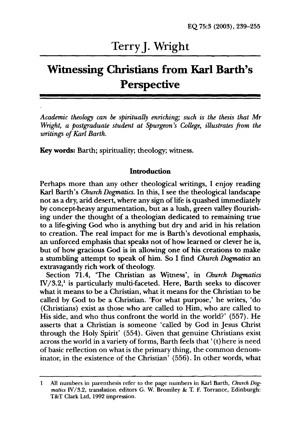# Terry J. Wright

# **Witnessing Christians from Karl Barth's Perspective**

*Academic theology can* be *spiritually enriching; such is the thesis that Mr Wright, a postgraduate student at Spurgeon's College, illustrates from the writings of Karl Barth.* 

Key words: Barth; spirituality; theology; witness.

#### Introduction

Perhaps more than any other theological writings, I enjoy reading Karl Barth's *Church Dogmatics.* In this, I see the theological landscape not as a dry, arid desert, where any sign of life is quashed immediately by concept-heavy argumentation, but as a lush, green valley flourishing under the thought of a theologian dedicated to remaining true to a life-giving God who is anything but dry and arid in his relation to creation. The real impact for me is Barth's devotional emphasis, an unforced emphasis that speaks not of how learned or clever he is, but of how gracious God is in allowing one of his creations to make a stumbling attempt to speak of him. So I find *Church Dogmatics* an extravagantly rich work of theology.

Section 71.4, 'The Christian as Witness', in *Church Dogmatics*   $IV/3.2<sup>1</sup>$  is particularly multi-faceted. Here, Barth seeks to discover what it means to be a Christian, what it means for the Christian to be called by God to be a Christian. 'For what purpose,' he writes, 'do (Christians) exist as those who are called to Him, who are called to His side, and who thus confront the world in the world?' (557). He asserts that a Christian is someone 'called by God in Jesus Christ through the Holy Spirit' (554). Given that genuine Christians exist across the world in a variety of forms, Barth feels that' (t) here is need of basic reflection on what is the primary thing, the common denominator, in the existence of the Christian' (556). In other words, what

 $\mathbf{1}$ All numbers in parenthesis refer to the page numbers in Karl Barth, *Church Dogmatics IV/3.2, translation editors G. W. Bromiley & T. F. Torrance, Edinburgh:* T&T Clark Ltd, 1992 impression.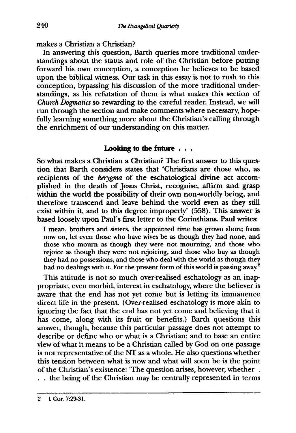makes a Christian a Christian?

In answering this question, Barth queries more traditional understandings about the status and role of the Christian before putting forward his own conception, a conception he believes to be based upon the biblical witness. Our task in this essay is not to rush to this conception, bypassing his discussion of the more traditional understandings, as his refutation of them is what makes this section of *Church Dogmatics* so rewarding to the careful reader. Instead, we will run through the section and make comments where necessary, hopefully learning something more about the Christian's calling through the enrichment of our understanding on this matter.

## **Looking to the future** . . .

So what makes a Christian a Christian? The first answer to this question that Barth considers states that 'Christians are those who, as recipients of the *kerygma* of the eschatological divine act accomplished in the death of Jesus Christ, recognise, affirm and grasp within the world the possibility of their own non-worldly being, and therefore transcend and leave behind the world even as they still exist within it, and to this degree improperly' (558). This answer is based loosely upon Paul's first letter to the Corinthians. Paul writes:

I mean, brothers and sisters, the appointed time has grown short; from now on, let even those who have wives be as though they had none, and those who mourn as though they were not mourning, and those who rejoice as though they were not rejoicing, and those who buy as though they had no possessions, and those who deal with the world as though they had no dealings with it. For the present form of this world is passing away.<sup>2</sup>

This attitude is not so much over-realised eschatology as an inappropriate, even morbid, interest in eschatology, where the believer is aware that the end has not yet come but is letting its immanence direct life in the present. (Over-realised eschatology is more akin to ignoring the fact that the end has not yet come and believing that it has come, along with its fruit or benefits.) Barth questions this answer, though, because this particular passage does not attempt to describe or define who or what is a Christian; and to base an entire view of what it means to be a Christian called by God on one passage is not representative of the NT as a whole. He also questions whether this tension between what is now and what will soon be is the point of the Christian's existence: 'The question arises, however, whether.

 $\ldots$  the being of the Christian may be centrally represented in terms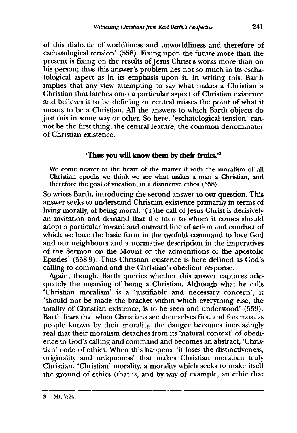of this dialectic of worldliness and unworldliness and therefore of eschatological tension' (558). Fixing upon the future more than the present is fixing on the results of Jesus Christ's works more than on his person; thus this answer's problem lies not so much in its eschatological aspect as in its emphasis upon it. In writing this, Barth implies that any view attempting to say what makes a Christian a Christian that latches onto a particular aspect of Christian existence and believes it to be defining or central misses the point of what it means to be a Christian. All the answers to which Barth objects do just this in some way or other. So here, 'eschatological tension' cannot be the first thing, the central feature, the common denominator of Christian existence.

## Thus you will know them by their fruits. $3<sup>3</sup>$

We come nearer to the heart of the matter if with the moralism of all Christian epochs we think we see what makes a man a Christian, and therefore the goal of vocation, in a distinctive ethos (558).

So writes Barth, introducing the second answer to our question. This answer seeks to understand Christian existence primarily in terms of living morally, of being moral. '(T)he call of Jesus Christ is decisively an invitation and demand that the men to whom it comes should adopt a particular inward and outward line of action and conduct of which we have the basic form in the twofold command to love God and our neighbours and a normative description in the imperatives of the Sermon on the Mount or the admonitions of the apostolic Epistles' (558-9). Thus Christian existence is here defined as God's calling to command and the Christian's obedient response.

Again, though, Barth queries whether this answer captures adequately the meaning of being a Christian. Although what he calls 'Christian moralism' is a 'justifiable and necessary concern', it 'should not be made the bracket within which everything else, the totality of Christian existence, is to be seen and understood' (559). Barth fears that when Christians see themselves first and foremost as people known by their morality, the danger becomes increasingly real that their moralism detaches from its 'natural context' of obedience to God's calling and command and becomes an abstract, 'Christian' code of ethics. When this happens, 'it loses the distinctiveness, originality and uniqueness' that makes Christian moralism truly Christian. 'Christian' morality, a morality which seeks to make itself the ground of ethics (that is, and by way of example, an ethic that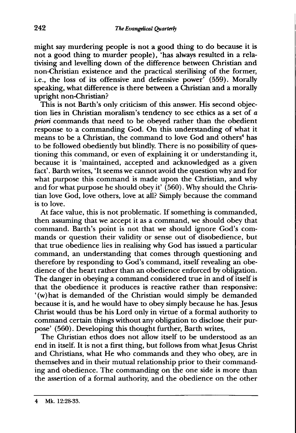might say murdering people is not a good thing to do because it is not a good thing to murder people), 'has always resulted in a relativising and levelling down of the difference between Christian and non-Christian existence and the practical sterilising of the former, i.e., the loss of its offensive and defensive power' (559). Morally speaking, what difference is there between a Christian and a morally upright non-Christian?

This is not Barth's only criticism of this answer. His second objection lies in Christian moralism's tendency to see ethics as a set of a *priori* commands that need to be obeyed rather than the obedient response to a commanding God. On this understanding of what it means to be a Christian, the command to love God and others<sup>4</sup> has to be followed obediently but blindly. There is no possibility of questioning this command, or even of explaining it or understanding it, because it is 'maintained, accepted and acknowledged as a given fact'. Barth writes, 'It seems we cannot avoid the question why and for what purpose this command is made upon the Christian, and why and for what purpose he should obey it'  $(560)$ . Why should the Christian love God, love others, love at all? Simply because the command is to love.

At face value, this is not problematic. If something is commanded, then assuming that we accept it as a command, we should obey that command. Barth's point is not that we should ignore God's commands or question their validity or sense out of disobedience, but that true obedience lies in realising why God has issued a particular command, an understanding that comes through questioning and therefore by responding to God's command, itself revealing an obedience of the heart rather than an obedience enforced by obligation. The danger in obeying a command considered true in and of itself is that the obedience it produces is reactive rather than responsive: '(w)hat is demanded of the Christian would simply be demanded because it is, and he would have to obey simply because he has. Jesus Christ would thus be his Lord only in virtue of a formal authority to command certain things without any obligation to disclose their purpose' (560). Developing this thought further, Barth writes,

The Christian ethos does not allow itself to be understood as an end in itself. It is not a first thing, but follows from what Jesus Christ and Christians, what He who commands and they who obey, are in themselves and in their mutual relationship prior to their commanding and obedience. The commanding on the one side is more than the assertion of a formal authority, and the obedience on the other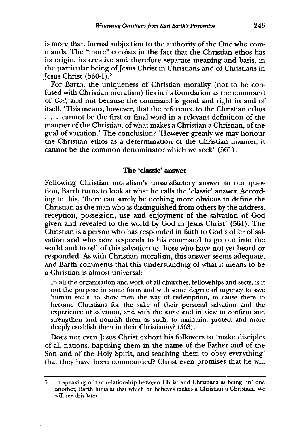is more than formal subjection to the authority of the One who commands. The "more" consists in the fact that the Christian ethos has its origin, its creative and therefore separate meaning and basis, in the particular being of Jesus Christ in Christians and of Christians in **Jesus Christ**  $(560-1)^5$ 

For Barth, the uniqueness of Christian morality (not to be confused with Christian moralism) lies in its foundation as the command of God, and not because the command is good and right in and of itself. This means, however, that the reference to the Christian ethos . . . cannot be the first or final word in a relevant definition of the manner of the Christian, of what makes a Christian a Christian, of the goal of vocation.' The conclusion? 'However greatly we may honour the Christian ethos as a determination of the Christian manner, it cannot be the common denominator which we seek' (561).

### **The** 'classic' **answer**

Following Christian moralism's unsatisfactory answer to our question, Barth turns to look at what he calls the 'classic' answer. According to this, 'there can surely be nothing more obvious to define the Christian as the man who is distinguished from others by the address, reception, possession, use and enjoyment of the salvation of God given and revealed to the world by God in Jesus Christ' (561). The Christian is a person who has responded in faith to God's offer of salvation and who now responds to his command to go out into the world and to tell of this salvation to those who have not yet heard or responded. As with Christian moralism, this answer seems adequate, and Barth comments that this understanding of what it means to be a Christian is almost universal:

In all the organisation and work of all churches, fellowships and sects, is it not the purpose in some form and with some degree of urgency to save human souls, to show men the way of redemption, to cause them to become Christians for the sake of their personal salvation and the experience of salvation, and with the same end in view to confirm and strengthen and nourish them as such, to maintain, protect and more deeply establish them in their Christianity? (563).

Does not even Jesus Christ exhort his followers to 'make disciples of all nations, baptising them in the name of the Father and of the Son and of the Holy Spirit, and teaching them to obey everything' that they have been commanded? Christ even promises that he will

<sup>5</sup> In speaking of the relationship between Christ and Christians as being 'in' one another, Barth hints at that which he believes makes a Christian a Christian. We will see this later.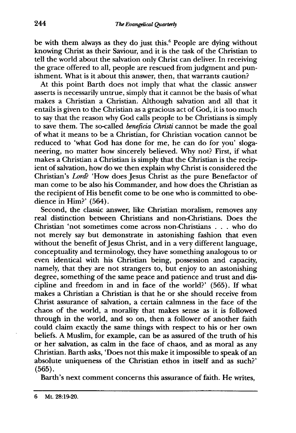be with them always as they do just this.<sup>6</sup> People are dying without knowing Christ as their Saviour, and it is the task of the Christian to tell the world about the salvation only Christ can deliver. In receiving the grace offered to all, people are rescued from judgment and punishment. What is it about this answer, then, that warrants caution?

At this point Barth does not imply that what the classic answer asserts is necessarily untrue, simply that it cannot be the basis of what makes a Christian a Christian. Although salvation and all that it entails is given to the Christian as a gracious act of God, it is too much to say that the reason why God calls people to be Christians is simply to save them. The so-called *beneficia Christi* cannot be made the goal of what it means to be a Christian, for Christian vocation cannot be reduced to 'what God has done for me, he can do for you' sloganeering, no matter how sincerely believed. Why not? First, if what makes a Christian a Christian is simply that the Christian is the recipient of salvation, how do we then explain why Christ is considered the Christian's *Lord*? 'How does Jesus Christ as the pure Benefactor of man come to be also his Commander, and how does the Christian as the recipient of His benefit come to be one who is committed to obedience in Him?' (564).

Second, the classic answer, like Christian moralism, removes any real distinction between Christians and non-Christians. Does the Christian 'not sometimes come across non-Christians . . . who do not merely say but demonstrate in astonishing fashion that even without the benefit of Jesus Christ, and in a very different language. conceptuality and terminology, they have something analogous to or even identical with his Christian being, possession and capacity, namely, that they are not strangers to, but enjoy to an astonishing degree, something of the same peace and patience and trust and discipline and freedom in and in face of the world?' (565). If what makes a Christian a Christian is that he or she should receive from Christ assurance of salvation, a certain calmness in the face of the chaos of the world, a morality that makes sense as it is followed through in the world, and so on, then a follower of another faith could claim exactly the same things with respect to his or her own beliefs. A Muslim, for example, can be as assured of the truth of his or her salvation, as calm in the face of chaos, and as moral as any Christian. Barth asks, 'Does not this make it impossible to speak of an absolute uniqueness of the Christian ethos in itself and as such?' (565).

Barth's next comment concerns this assurance of faith. He writes,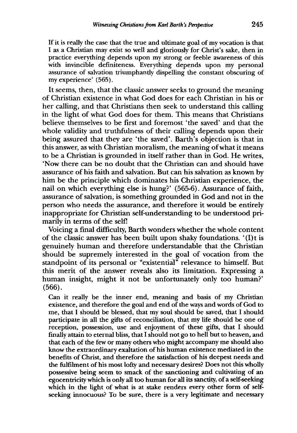If it is really the case that the true and ultimate goal of my vocation is that I as a Christian may exist so well and gloriously for Christ's sake, then in practice everything depends upon my strong or feeble awareness of this with invincible definiteness. Everything depends upon my personal assurance of salvation triumphantly dispelling the constant obscuring of my experience' (565).

It seems, then, that the classic answer seeks to ground the meaning of Christian existence in what God does for each Christian in his or her calling, and that Christians then seek to understand this calling in the light of what God does for them. This means that Christians believe themselves to be first and foremost 'the saved' and that the whole validity and truthfulness of their calling depends upon their being assured that they are 'the saved'. Barth's objection is that in this answer, as with Christian moralism, the meaning of what it means to be a Christian is grounded in itself rather than in God. He writes, 'Now there can be no doubt that the Christian can and should have assurance of his faith and salvation. But can his salvation as known by him be the principle which dominates his Christian experience, the nail on which everything else is hung?' (565-6). Assurance of faith, assurance of salvation, is something grounded in God and not in the person who needs the assurance, and therefore it would be entirely inappropriate for Christian self-understanding to be understood primarily in terms of the selfl

Voicing a final difficulty, Barth wonders whether the whole content of the classic answer has been built upon shaky foundations. '(I) t is genuinely human and therefore understandable that the Christian should be supremely interested in the goal of vocation from the standpoint of its personal or "existentia1" relevance to himself. But this merit of the answer reveals also its limitation. Expressing a human insight, might it not be unfortunately only too human?' (566).

Can it really be the inner end, meaning and basis of my Christian existence, and therefore the goal and end of the ways and words of God to me, that I should be blessed, that my soul should be saved, that I should participate in all the gifts of reconciliation, that my life should be one of reception, possession, use and enjoyment of these gifts, that I should finally attain to eternal bliss, that I should not go to hell but to heaven, and that each of the few or many others who might accompany me should also know the extraordinary exaltation of his human existence mediated in the benefits of Christ, and therefore the satisfaction of his deepest needs and the fulfilment of his most lofty and necessary desires? Does not this wholly possessive being seem to smack of the sanctioning and cultivating of an egocentricity which is only all too human for all its sanctity, of a self-seeking which in the light of what is at stake renders every other form of selfseeking innocuous? To be sure, there is a very legitimate and necessary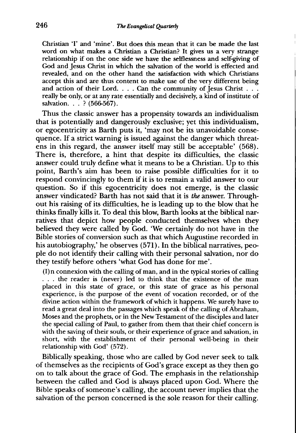Christian 'I' and 'mine'. But does this mean that it can be made the last word on what makes a Christian a Christian? It gives us a very strange relationship if on the one side we have the selflessness and self-giving of God and Jesus Christ in which the salvation of the world is effected and revealed, and on the other hand the satisfaction with which Christians accept this and are thus content to make use of the very different being and action of their Lord.  $\ldots$  Can the community of Jesus Christ  $\ldots$ really be only, or at any rate essentially and decisively, a kind of institute of salvation. . . ? (566-567).

Thus the classic answer has a propensity towards an individualism that is potentially and dangerously exclusive; yet this individualism, or egocentricity as Barth puts it, 'may not be its unavoidable consequence. If a strict warning is issued against the danger which threatens in this regard, the answer itself may still be acceptable' (568). There is, therefore, a hint that despite its difficulties, the classic answer could truly define what it means to be a Christian. Up to this point, Barth's aim has been to raise possible difficulties for it to respond convincingly to them if it is to remain a valid answer to our question. So if this egocentricity does not emerge, is the classic answer vindicated? Barth has not said that it is *the* answer. Throughout his raising of its difficulties, he is leading up to the blow that he thinks finally kills it. To deal this blow, Barth looks at the biblical narratives that depict how people conducted themselves when they believed they were called by God. 'We certainly do not have in the Bible stories of conversion such as that which Augustine recorded in his autobiography,' he observes (571). In the biblical narratives, people do not identify their calling with their personal salvation, nor do they testify before others 'what God has done for me'.

(I) n connexion with the calling of man, and in the typical stories of calling ... the reader is (never) led to think that the existence of the man placed in this state of grace, or this state of grace as his personal experience, is the purpose of the event of vocation recorded, or of the divine action within the framework of which it happens. We surely have to read a great deal into the passages which speak of the calling of Abraham, Moses and the prophets, or in the New Testament of the disciples and later the special calling of Paul, to gather from them that their chief concern is with the saving of their souls, or their experience of grace and salvation, in short, with the establishment of their personal well-being in their relationship with God' (572).

Biblically speaking, those who are called by God never seek to talk of themselves as the recipients of God's grace except as they then go on to talk about the grace of God. The emphasis in the relationship between the called and God is always placed upon God. Where the Bible speaks of someone's calling, the account never implies that the salvation of the person concerned is the sole reason for their calling.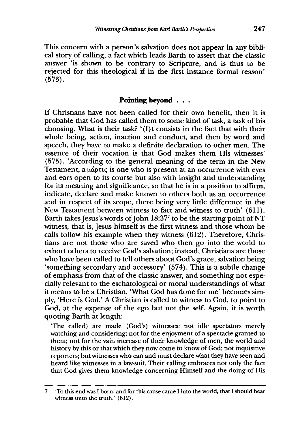This concern with a person's salvation does not appear in any biblical story of calling, a fact which leads Barth to assert that the classic answer 'is shown to be contrary to Scripture, and is thus to be rejected for this theological if in the first instance formal reason' (573).

### **Pointing beyond** . . .

If Christians have not been called for their own benefit, then it is probable that God has called them to some kind of task, a task of his choosing. What is their task? '(I) t consists in the fact that with their whole being, action, inaction and conduct, and then by word and speech, they have to make a definite declaration to other men. The essence of their vocation is that God makes them His witnesses' (575). 'According to the general meaning of the term in the New Testament, a  $\mu\acute{\alpha}$  ptvc is one who is present at an occurrence with eyes and ears open to its course but also with insight and understanding for its meaning and significance, so that he is in a position to affirm, indicate, declare and make known to others both as an occurrence and in respect of its scope, there being very little difference in the New Testament between witness to fact and witness to truth' (611). Barth takes Jesus's words of John  $18:37<sup>7</sup>$  to be the starting point of NT witness, that is, Jesus himself is the first witness and those whom he calls follow his example when they witness (612). Therefore, Christians are not those who are saved who then go into the world to exhort others to receive God's salvation; instead, Christians are those who have been called to tell others about God's grace, salvation being 'something secondary and accessory' (574). This is a subtle change of emphasis from that of the classic answer, and something not especially relevant to the eschatological or moral understandings of what it means to be a Christian. 'What God has done for me' becomes simply, 'Here is God.' A Christian is called to witness to God, to point to God, at the expense of the ego but not the self. Again, it is worth quoting Barth at length:

'The called) are made (God's) witnesses: not idle spectators merely watching and considering; not for the enjoyment of a spectacle granted to them; not for the vain increase of their knowledge of men, the world and history by this or that which they now come to know of God; not inquisitive reporters; but witnesses who can and must declare what they have seen and heard like witnesses in a law-suit. Their calling embraces not only the fact that God gives them knowledge concerning Himself and the doing of His

<sup>7 &#</sup>x27;To this end was I born, and for this cause came I into the world, that I should bear witness unto the truth.' (612).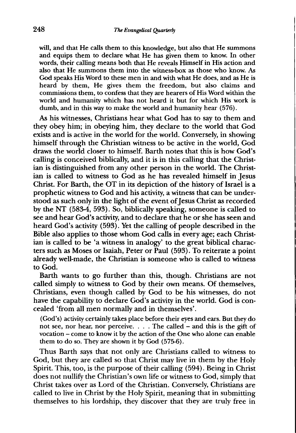will, and that He calls them to this knowledge, but also that He summons and equips them to declare what He has given them to know. In other words, their calling means both that He reveals Himself in His action and also that He summons them into the witness-box as those who know. As God speaks His Word to these men in and with what He does, and as He is heard by them, He gives them the freedom, but also claims and commissions them, to confess that they are hearers of His Word within the world and humanity which has not heard it but for which His work is dumb, and in this way to make the world and humanity hear (576).

As his witnesses, Christians hear what God has to say to them and they obey him; in obeying him, they declare to the world that God exists and is active in the world for the world. Conversely, in showing himself through the Christian witness to be active in the world, God draws the world closer to himself. Barth notes that this is how God's calling is conceived biblically, and it is in this calling that the Christian is distinguished from any other person in the world. The Christian is called to witness to God as he has revealed himself in Jesus Christ. For Barth, the OT in its depiction of the history of Israel is a prophetic witness to God and his activity, a witness that can be understood as such only in the light of the event of Jesus Christ as recorded by the NT (583-4, 593). So, biblically speaking, someone is called to see and hear God's activity, and to declare that he or she has seen and heard God's activity (593). Yet the calling of people described in the Bible also applies to those whom God calls in every age; each Christian is called to be 'a witness in analogy' to the great biblical characters such as Moses or Isaiah, Peter or Paul (593). To reiterate a point already well-made, the Christian is someone who is called to witness to God.

Barth wants to go further than this, though. Christians are not called simply to witness to God by their own means. Of themselves, Christians, even though called by God to be his witnesses, do not have the capability to declare God's activity in the world. God is concealed 'from all men normally and in themselves'.

(God's) activity certainly takes place before their eyes and ears. But they do not see, nor hear, nor perceive. . . . The called - and this is the gift of vocation - come to know it by the action of the One who alone can enable them to do so. They are shown it by God (575-6).

Thus Barth says that not only are Christians called to witness to God, but they are called so that Christ may live in them by the Holy Spirit. This, too, is the purpose of their calling (594). Being in Christ does not nullify the Christian's own life or witness to God, simply that Christ takes over as Lord of the Christian. Conversely, Christians are called to live in Christ by the Holy Spirit, meaning that in submitting themselves to his lordship, they discover that they are truly free in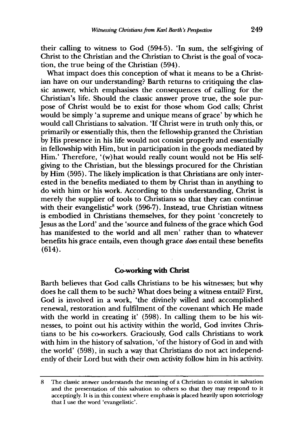their calling to witness to God (594-5). 'In sum, the self-giving of Christ to the Christian and the Christian to Christ is the goal of vocation, the true being of the Christian (594).

What impact does this conception of what it means to be a Christian have on our understanding? Barth returns to critiquing the classic answer, which emphasises the consequences of calling for the Christian's life. Should the classic answer prove true, the sole purpose of Christ would be to exist for those whom God calls; Christ would be simply 'a supreme and unique means of grace' by which he would call Christians to salvation. 'If Christ were in truth only this, or primarily or essentially this, then the fellowship granted the Christian by His presence in his life would not consist properly and essentially in fellowship with Him, but in participation in the goods mediated by Him.' Therefore, '(w)hat would really count would not be His selfgiving to the Christian, but the blessings procured for the Christian by Him (595). The likely implication is that Christians are only interested in the benefits mediated to them by Christ than in anything to do with him or his work. According to this understanding, Christ is merely the supplier of tools to Christians so that they can continue with their evangelistic<sup>8</sup> work (596-7). Instead, true Christian witness is embodied in Christians themselves, for they point 'concretely to Jesus as the Lord' and the 'source and fulness of the grace which God has manifested to the world and all men' rather than to whatever benefits his grace entails, even though grace *does* entail these benefits (614).

#### **Co-working with Christ**

Barth believes that God calls Christians to be his witnesses; but why does he call them to be such? What does being a witness entail? First, God is involved in a work, 'the divinely willed and accomplished renewal, restoration and fulfilment of the covenant which He made with the world in creating it' (598). **In** calling them to be his witnesses, to point out his activity within the world, God invites Christians to be his co-workers. Graciously, God calls Christians to work with him in the history of salvation, 'of the history of God in and with the world' (598), in such a way that Christians do not act independently of their Lord but with their own activity follow him in his activity.

<sup>8</sup> The classic answer understands the meaning of a Christian to consist in salvation and the presentation of this salvation to others so that they may respond to it acceptingly. It is in this context where emphasis is placed heavily upon soteriology that I use the word 'evangelistic'.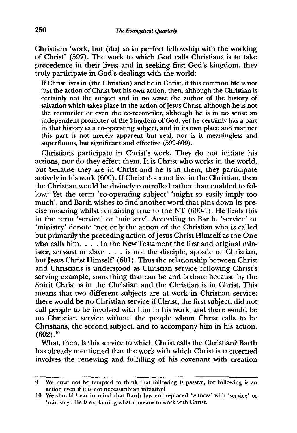Christians 'work, but (do) so in perfect fellowship with the working of Christ' (597). The work to which God calls Christians is to take precedence in their lives; and in seeking first God's kingdom, they truly participate in God's dealings with the world:

If Christ lives in (the Christian) and he in Christ, if this common life is not just the action of Christ but his own action, then, although the Christian is certainly not the subject and in no sense the author of the history of salvation which takes place in the action of Jesus Christ, although he is not the reconciler or even the co-reconciler, although he is in no sense an independent promoter of the kingdom of God, yet he certainly has a part in that history as a co-operating subject, and in its own place and manner this part is not merely apparent but real, nor is it meaningless and superfluous, but significant and effective (599-600).

Christians participate in Christ's work. They do not initiate his actions, nor do they effect them. It is Christ who works in the world, but because they are in Christ and he is in them, they participate actively in his work (600). If Christ does not live in the Christian, then the Christian would be divinely controlled rather than enabled to follow.<sup>9</sup> Yet the term 'co-operating subject' 'might so easily imply too much', and Barth wishes to find another word that pins down its precise meaning whilst remaining true to the NT (600-1). He finds this in the term 'service' or 'ministry'. According to Barth, 'service' or 'ministry' denote 'not only the action of the Christian who is called but primarily the preceding action of Jesus Christ Himself as the One who calls him. . . . In the New Testament the first and original minister, servant or slave . . . is not the disciple, apostle or Christian, but Jesus Christ Himself' (601). Thus the relationship between Christ and Christians is understood as Christian service following Christ's serving example, something that can be and is done because by the Spirit Christ is in the Christian and the Christian is in Christ. This means that two different subjects are at work in Christian service: there would be no Christian service if Christ, the first subject, did not call people to be involved with him in his work; and there would be no Christian service without the people whom Christ calls to be Christians, the second subject, and to accompany him in his action.  $(602).^{10}$ 

What, then, is this service to which Christ calls the Christian? Barth has already mentioned that the work with which Christ is concerned involves the renewing and fulfilling of his covenant with creation

<sup>9</sup> We must not be tempted to think that following is passive, for following is an action even if it is not necessarily an initiative!

<sup>10</sup> We should bear in mind that Barth has not replaced 'witness' with 'service' or 'ministry'. He is explaining what it means to work with Christ.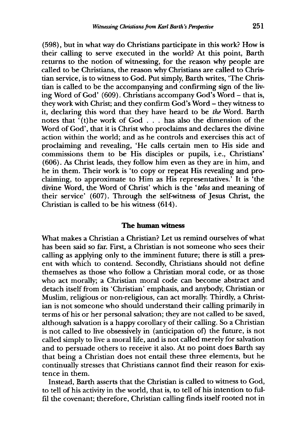(598), but in what way do Christians participate in this work? How is their calling to serve executed in the world? At this point, Barth returns to the notion of witnessing, for the reason why people are called to be Christians, the reason why Christians are called to Christian service, is to witness to God. Put simply, Barth writes, 'The Christian is called to be the accompanying and confirming sign of the living Word of God' (609). Christians accompany God's Word - that is, they work with Christ; and they confirm God's Word - they witness to it, declaring this word that they have heard to be *the* Word. Barth notes that '(t)he work of God... has also the dimension of the Word of God', that it is Christ who proclaims and declares the divine action within the world; and as he controls and exercises this act of proclaiming and revealing, 'He calls certain men to His side and commissions them to be His disciples or pupils, i.e., Christians'  $(606)$ . As Christ leads, they follow him even as they are in him, and he in them. Their work is 'to copy or repeat His revealing and proclaiming, to approximate to Him as His representatives.' It is 'the divine Word, the Word of Christ' which is the *'telos* and meaning of their service' (607). Through the self-witness of Jesus Christ, the Christian is called to be his witness (614).

#### **The human witness**

What makes a Christian a Christian? Let us remind ourselves of what has been said so far. First, a Christian is not someone who sees their calling as applying only to the imminent future; there is still a present with which to contend. Secondly, Christians should not define themselves as those who follow a Christian moral code, or as those who act morally; a Christian moral code can become abstract and detach itself from its 'Christian' emphasis, and anybody, Christian or Muslim, religious or non-religious, can act morally. Thirdly, a Christian is not someone who should understand their calling primarily in terms of his or her personal salvation; they are not called to be saved, although salvation is a happy corollary of their calling. So a Christian is not called to live obsessively in (anticipation of) the future, is not called simply to live a moral life, and is not called merely for salvation and to persuade others to receive it also. At no point does Barth say that being a Christian does not entail these three elements, but he continually stresses that Christians cannot find their reason for existence in them.

Instead, Barth asserts that the Christian is called to witness to God, to tell of his activity in the world, that is, to tell of his intention to fulfil the covenant; therefore, Christian calling finds itself rooted not in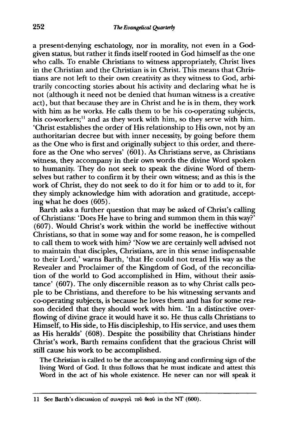a present-denying eschatology, nor in morality, not even in a Godgiven status, but rather it finds itself rooted in God himself as the one who calls. To enable Christians to witness appropriately, Christ lives in the Christian and the Christian is in Christ. This means that Christians are not left to their own creativity as they witness to God, arbitrarily concocting stories about his activity and declaring what he is not (although it need not be denied that human witness is a creative act), but that because they are in Christ and he is in them, they work with him as he works. He calls them to be his co-operating subjects, his co-workers;<sup>11</sup> and as they work with him, so they serve with him. 'Christ establishes the order of His relationship to His own, not by an authoritarian decree but with inner necessity, by going before them as the One who is first and originally subject to this order, and therefore as the One who serves' (601). As Christians serve, as Christians witness, they accompany in their own words the divine Word spoken to humanity. They do not seek to speak the divine Word of themselves but rather to confirm it by their own witness; and as this is the work of Christ, they do not seek to do it for him or to add to it, for they simply acknowledge him with adoration and gratitude, accepting what he does (605).

Barth asks a further question that may be asked of Christ's calling of Christians: 'Does He have to bring and summon them in this way?' (607). Would Christ's work within the world be ineffective without Christians, so that in some way and for some reason, he is compelled to call them to work with him? 'Now we are certainly well advised not to maintain that disciples, Christians, are in this sense indispensable to their Lord,' warns Barth, 'that He could not tread His way as the Revealer and Proclaimer of the Kingdom of God, of the reconciliation of the world to God accomplished in Him, without their assistance' (607). The only discernible reason as to why Christ calls people to be Christians, and therefore to be his witnessing servants and co-operating subjects, is because he loves them and has for some reason decided that they should work with him. 'In a distinctive overflowing of divine grace it would have it so. He thus calls Christians to Himself, to His side, to His discipleship, to His service, and uses them as His heralds' (608). Despite the possibility that Christians hinder Christ's work, Barth remains confident that the gracious Christ will still cause his work to be accomplished.

The Christian is called to be the accompanying and confirming sign of the living Word of God. It thus follows that he must indicate and attest this Word in the act of his whole existence. He never can nor will speak it

<sup>11</sup> See Barth's discussion of συνεργοί του θεού in the NT (600).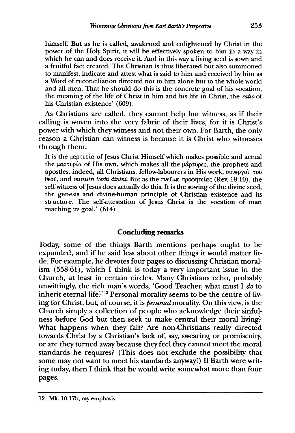himself. But as he is called, awakened and enlightened by Christ in the power of the Holy Spirit, it will be effectively spoken to him in a way in which he can and does receive it. And in this way a living seed is sown and a fruitful fact created. The Christian is thus liberated but also summoned to manifest, indicate and attest what is said to him and received by him as a Word of reconciliation directed not to him alone but to the whole world and all men. That he should do this is the concrete goal of his vocation, the meaning of the life of Christ in him and his life in Christ, the *ratio* of his Christian existence' (609).

As Christians are called, they cannot help but witness, as if their calling is woven into the very fabric of their lives, for it is Christ's power with which they witness and not their own. For Barth, the only reason a Christian can witness is because it is Christ who witnesses through them.

It is the  $\mu\alpha\rho\tau\nu\rho\alpha$  of Jesus Christ Himself which makes possible and actual the  $\mu\alpha$ <sub>0</sub> tuplication of His own, which makes all the  $\mu\alpha$ <sub>p</sub> the prophets and apostles, indeed, all Christians, fellow-labourers in His work, συνεργοί του θεοῦ, and *ministri Verbi divini*. But as the πνεῦμα προφητείας (Rev. 19:10), the self-witness of Jesus does actually do this. It is the sowing of the divine seed, the genesis and divine-human principle of Christian existence and its structure. The self-attestation of Jesus Christ is the vocation of man reaching its goal.' (614)

## **Concluding** remarks

Today, some of the things Barth mentions perhaps ought to be expanded, and if he said less about other things it would matter little. For example, he devotes four pages to discussing Christian moralism (558-61), which I think is today a very important issue in the Church, at least in certain circles. Many Christians echo, probably unwittingly, the rich man's words, 'Good Teacher, what must I *do* to inherit eternal life?'<sup>12</sup> Personal morality seems to be the centre of living for Christ, but, of course, it is *personal* morality. On this view, is the Church simply a collection of people who acknowledge their sinfulness before God but then seek to make central their moral living? What happens when they fail? Are non-Christians really directed towards Christ by a Christian's lack of, say, swearing or promiscuity, or are they turned away because they feel they cannot meet the moral standards he requires? (This does not exclude the possibility that some may not want to meet his standards anyway!) If Barth were writing today, then I think that he would write somewhat more than four pages.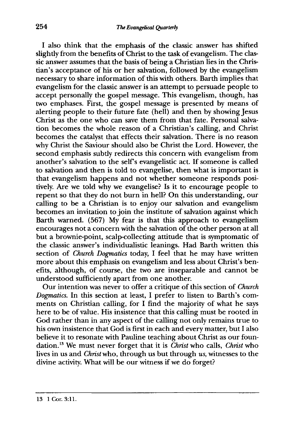I also think that the emphasis of the classic answer has shifted slightly from the benefits of Christ to the task of evangelism. The classic answer assumes that the basis of being a Christian lies in the Christian's acceptance of his or her salvation, followed by the evangelism necessary to share information of this with others. Barth implies that evangelism for the classic answer is an attempt to persuade people to accept personally the gospel message. This evangelism, though, has two emphases. First, the gospel message is presented by means of alerting people to their future fate (hell) and then by showing Jesus Christ as the one who can save them from that fate. Personal salvation becomes the whole reason of a Christian's calling, and Christ becomes the catalyst that effects their salvation. There is no reason why Christ the Saviour should also be Christ the Lord. However, the second emphasis subtly redirects this concern with evangelism from another's salvation to the self's evangelistic act. If someone is called to salvation and then is told to evangelise, then what is important is that evangelism happens and not whether someone responds positively. Are we told why we evangelise? Is it to encourage people to repent so that they do not burn in hell? On this understanding, our calling to be a Christian is to enjoy our salvation and evangelism becomes an invitation to join the institute of salvation against which Barth warned. (567) My fear is that this approach to evangelism encourages not a concern with the salvation of the other person at all but a brownie-point, scalp-collecting attitude that is symptomatic of the classic answer's individualistic leanings. Had Barth written this section of *Church Dogmatics* today, I feel that he may have written more about this emphasis on evangelism and less about Christ's benefits, although, of course, the two are inseparable and cannot be understood sufficiently apart from one another.

Our intention was never to offer a critique of this section of *Church Dogmatics.* In this section at least, I prefer to listen to Barth's comments on Christian calling, for I find the majority of what he says here to be of value. His insistence that this calling must be rooted in God rather than in any aspect of the calling not only remains true to his own insistence that God is first in each and every matter, but I also believe it to resonate with Pauline teaching about Christ as our foundation. 13 We must never forget that it is *Christ* who calls, *Christ* who lives in us and *Christ* who, through us but through *us,* witnesses to the divine activity. What will be our witness if we do forget?